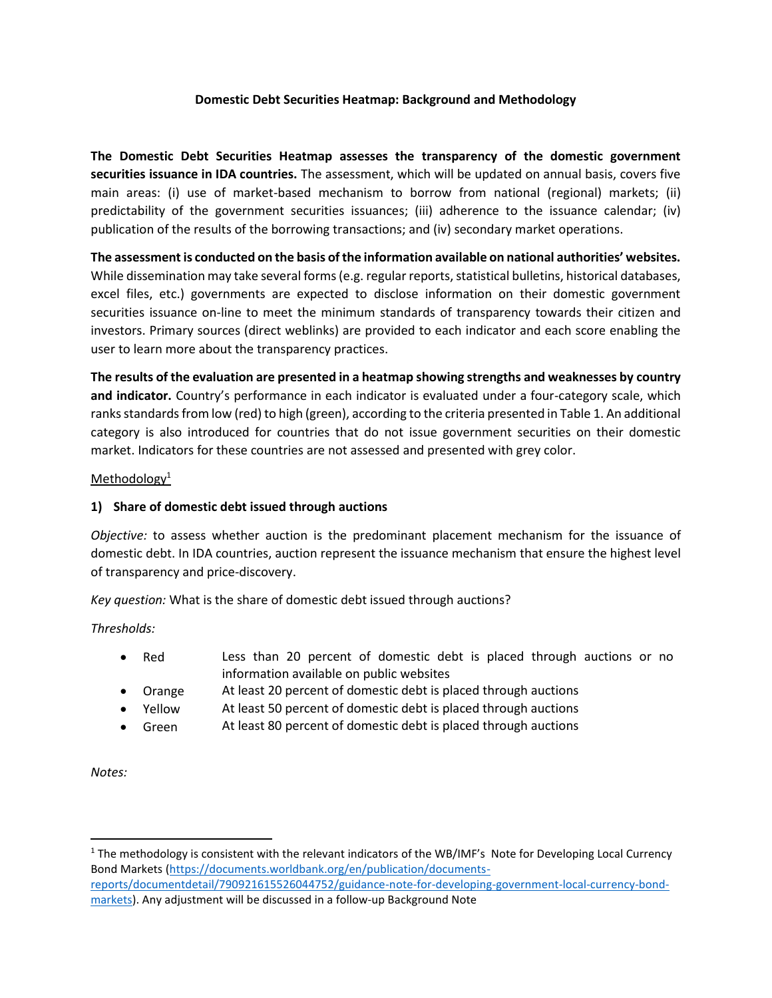## **Domestic Debt Securities Heatmap: Background and Methodology**

**The Domestic Debt Securities Heatmap assesses the transparency of the domestic government securities issuance in IDA countries.** The assessment, which will be updated on annual basis, covers five main areas: (i) use of market-based mechanism to borrow from national (regional) markets; (ii) predictability of the government securities issuances; (iii) adherence to the issuance calendar; (iv) publication of the results of the borrowing transactions; and (iv) secondary market operations.

**The assessment is conducted on the basis of the information available on national authorities' websites.** While dissemination may take several forms (e.g. regular reports, statistical bulletins, historical databases, excel files, etc.) governments are expected to disclose information on their domestic government securities issuance on-line to meet the minimum standards of transparency towards their citizen and investors. Primary sources (direct weblinks) are provided to each indicator and each score enabling the user to learn more about the transparency practices.

**The results of the evaluation are presented in a heatmap showing strengths and weaknesses by country and indicator.** Country's performance in each indicator is evaluated under a four-category scale, which ranks standards from low (red) to high (green), according to the criteria presented in Table 1. An additional category is also introduced for countries that do not issue government securities on their domestic market. Indicators for these countries are not assessed and presented with grey color.

# Methodology<sup>1</sup>

# **1) Share of domestic debt issued through auctions**

*Objective:* to assess whether auction is the predominant placement mechanism for the issuance of domestic debt. In IDA countries, auction represent the issuance mechanism that ensure the highest level of transparency and price-discovery.

*Key question:* What is the share of domestic debt issued through auctions?

*Thresholds:*

- Red **Less than 20 percent of domestic debt is placed through auctions or no** information available on public websites
- Orange At least 20 percent of domestic debt is placed through auctions
- Yellow At least 50 percent of domestic debt is placed through auctions
- Green At least 80 percent of domestic debt is placed through auctions

*Notes:* 

<sup>1</sup> The methodology is consistent with the relevant indicators of the WB/IMF's Note for Developing Local Currency Bond Markets [\(https://documents.worldbank.org/en/publication/documents](https://documents.worldbank.org/en/publication/documents-reports/documentdetail/790921615526044752/guidance-note-for-developing-government-local-currency-bond-markets)[reports/documentdetail/790921615526044752/guidance-note-for-developing-government-local-currency-bond](https://documents.worldbank.org/en/publication/documents-reports/documentdetail/790921615526044752/guidance-note-for-developing-government-local-currency-bond-markets)[markets\)](https://documents.worldbank.org/en/publication/documents-reports/documentdetail/790921615526044752/guidance-note-for-developing-government-local-currency-bond-markets). Any adjustment will be discussed in a follow-up Background Note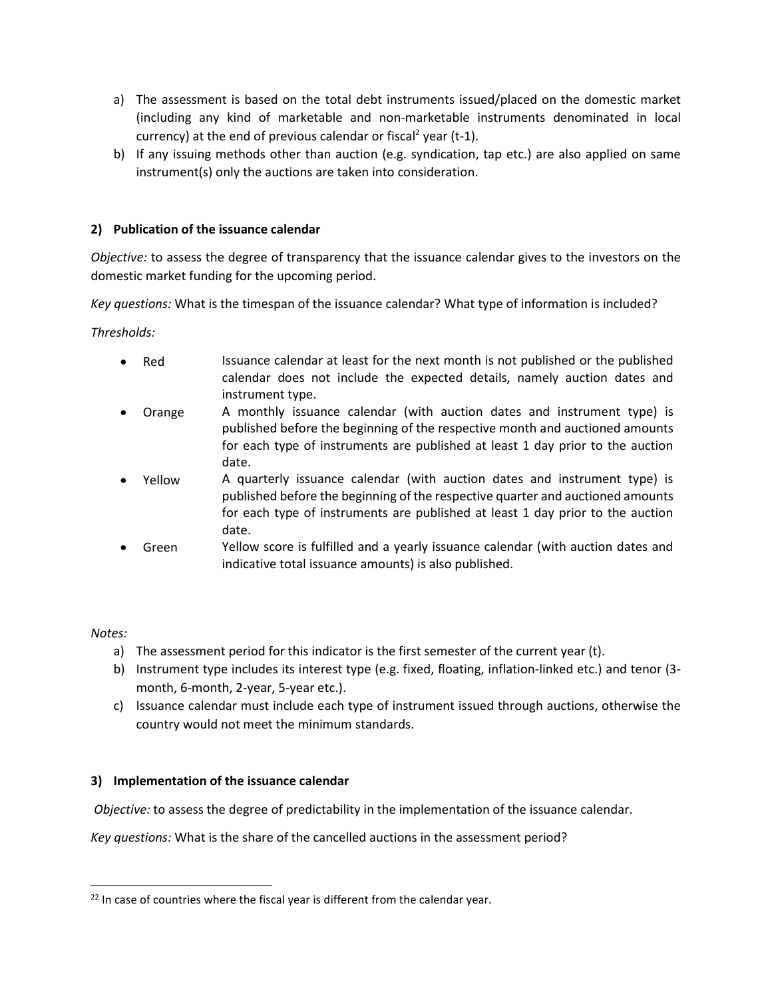- a) The assessment is based on the total debt instruments issued/placed on the domestic market (including any kind of marketable and non-marketable instruments denominated in local currency) at the end of previous calendar or fiscal<sup>2</sup> year (t-1).
- b) If any issuing methods other than auction (e.g. syndication, tap etc.) are also applied on same instrument(s) only the auctions are taken into consideration.

# **2) Publication of the issuance calendar**

*Objective:* to assess the degree of transparency that the issuance calendar gives to the investors on the domestic market funding for the upcoming period.

*Key questions:* What is the timespan of the issuance calendar? What type of information is included?

*Thresholds:*

- Red Issuance calendar at least for the next month is not published or the published calendar does not include the expected details, namely auction dates and instrument type.
- Orange A monthly issuance calendar (with auction dates and instrument type) is published before the beginning of the respective month and auctioned amounts for each type of instruments are published at least 1 day prior to the auction date.
- Yellow A quarterly issuance calendar (with auction dates and instrument type) is published before the beginning of the respective quarter and auctioned amounts for each type of instruments are published at least 1 day prior to the auction date.
- Green Yellow score is fulfilled and a yearly issuance calendar (with auction dates and indicative total issuance amounts) is also published.

## *Notes:*

- a) The assessment period for this indicator is the first semester of the current year (t).
- b) Instrument type includes its interest type (e.g. fixed, floating, inflation-linked etc.) and tenor (3 month, 6-month, 2-year, 5-year etc.).
- c) Issuance calendar must include each type of instrument issued through auctions, otherwise the country would not meet the minimum standards.

## **3) Implementation of the issuance calendar**

*Objective:* to assess the degree of predictability in the implementation of the issuance calendar.

*Key questions:* What is the share of the cancelled auctions in the assessment period?

 $22$  In case of countries where the fiscal year is different from the calendar year.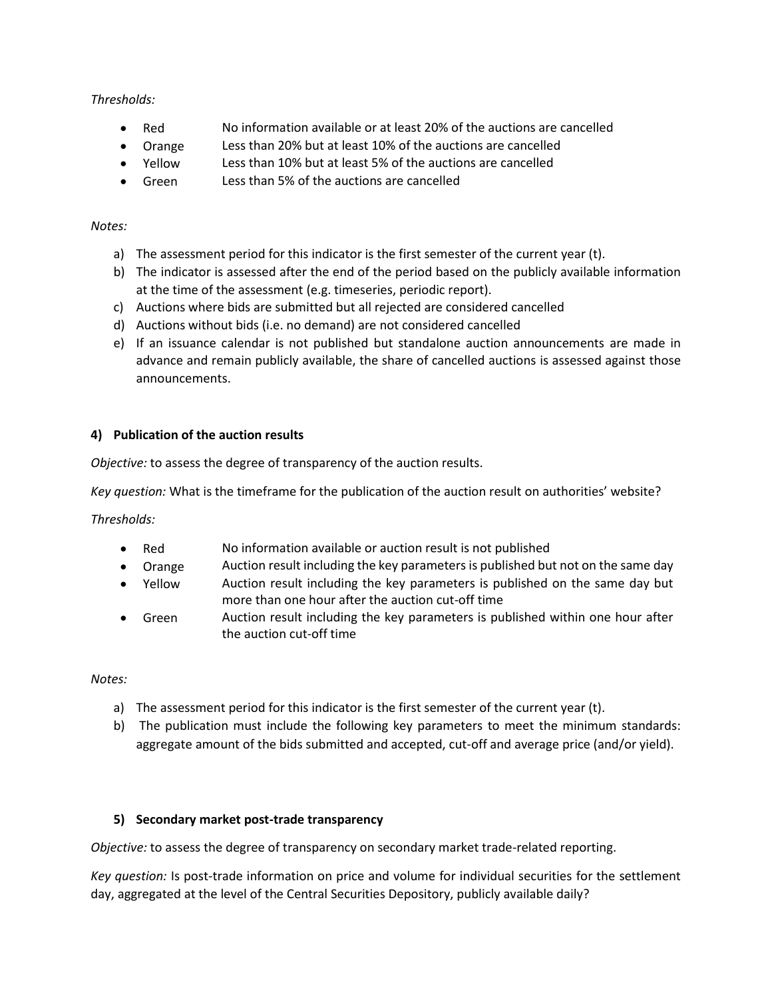# *Thresholds:*

- Red No information available or at least 20% of the auctions are cancelled
- Orange Less than 20% but at least 10% of the auctions are cancelled
- Yellow Less than 10% but at least 5% of the auctions are cancelled
- Green Less than 5% of the auctions are cancelled

## *Notes:*

- a) The assessment period for this indicator is the first semester of the current year (t).
- b) The indicator is assessed after the end of the period based on the publicly available information at the time of the assessment (e.g. timeseries, periodic report).
- c) Auctions where bids are submitted but all rejected are considered cancelled
- d) Auctions without bids (i.e. no demand) are not considered cancelled
- e) If an issuance calendar is not published but standalone auction announcements are made in advance and remain publicly available, the share of cancelled auctions is assessed against those announcements.

# **4) Publication of the auction results**

*Objective:* to assess the degree of transparency of the auction results.

*Key question:* What is the timeframe for the publication of the auction result on authorities' website?

*Thresholds:*

- Red No information available or auction result is not published
- Orange Auction result including the key parameters is published but not on the same day
- Yellow Auction result including the key parameters is published on the same day but more than one hour after the auction cut-off time
- Green Auction result including the key parameters is published within one hour after the auction cut-off time

*Notes:*

- a) The assessment period for this indicator is the first semester of the current year (t).
- b) The publication must include the following key parameters to meet the minimum standards: aggregate amount of the bids submitted and accepted, cut-off and average price (and/or yield).

## **5) Secondary market post-trade transparency**

*Objective:* to assess the degree of transparency on secondary market trade-related reporting.

*Key question:* Is post-trade information on price and volume for individual securities for the settlement day, aggregated at the level of the Central Securities Depository, publicly available daily?